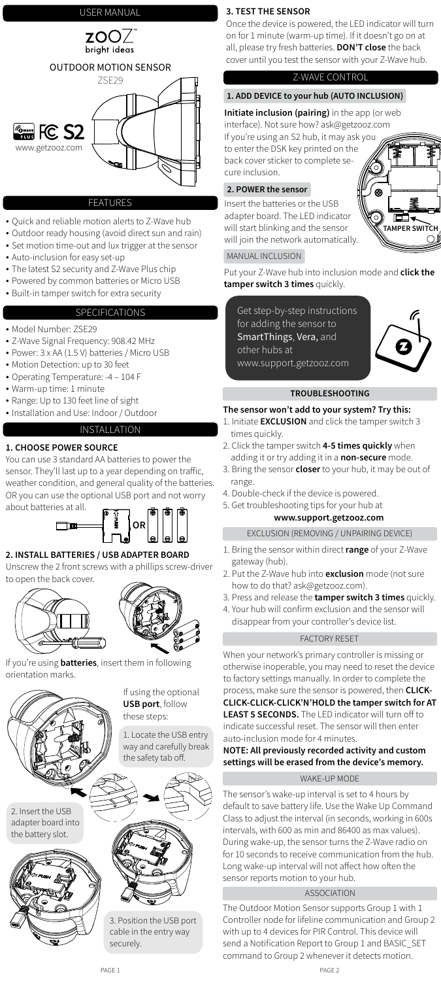

## **FEATURES**

- Quick and reliable motion alerts to Z-Wave hub
- Outdoor ready housing (avoid direct sun and rain)
- Set motion time-out and lux trigger at the sensor
- Auto-inclusion for easy set-up
- The latest S2 security and Z-Wave Plus chip
- Powered by common batteries or Micro USB
- Built-in tamper switch for extra security

# SPECIFICATIONS

- Model Number: ZSE29
- Z-Wave Signal Frequency: 908.42 MHz
- Power: 3 x AA (1.5 V) batteries / Micro USB
- Motion Detection: up to 30 feet
- Operating Temperature: -4 104 F
- Warm-up time: 1 minute
- Range: Up to 130 feet line of sight
- Installation and Use: Indoor / Outdoor

# INSTALLATION

# **1. CHOOSE POWER SOURCE**

You can use 3 standard AA batteries to power the sensor. They'll last up to a year depending on traffic, weather condition, and general quality of the batteries. OR you can use the optional USB port and not worry

# USER MANUAL USER MANUAL

about batteries at all.

# **2. INSTALL BATTERIES / USB ADAPTER BOARD**

Unscrew the 2 front screws with a phillips screw-driver to open the back cover.





If you're using **batteries**, insert them in following orientation marks.



1. Locate the USB entry way and carefully break the safety tab off.

If using the optional **USB port**, follow these steps:

2. Insert the USB adapter board into the battery slot.





3. Position the USB port cable in the entry way securely.

## Z-WAVE CONTROL

## **3. TEST THE SENSOR**

Once the device is powered, the LED indicator will turn on for 1 minute (warm-up time). If it doesn't go on at all, please try fresh batteries. **DON'T close** the back cover until you test the sensor with your Z-Wave hub.

## **1. ADD DEVICE to your hub (AUTO INCLUSION)**

# MANUAL INCLUSION

**Initiate inclusion (pairing)** in the app (or web interface). Not sure how? ask@getzooz.com

If you're using an S2 hub, it may ask you to enter the DSK key printed on the back cover sticker to complete secure inclusion.

- 1. Bring the sensor within direct **range** of your Z-Wave gateway (hub).
- 2. Put the Z-Wave hub into **exclusion** mode (not sure how to do that? ask@getzooz.com).
- 3. Press and release the **tamper switch 3 times** quickly.
- 4. Your hub will confirm exclusion and the sensor will disappear from your controller's device list.

EXCLUSION (REMOVING / UNPAIRING DEVICE)

## FACTORY RESET

## **TROUBLESHOOTING**

## **The sensor won't add to your system? Try this:**

- 1. Initiate **EXCLUSION** and click the tamper switch 3 times quickly.
- 2. Click the tamper switch **4-5 times quickly** when adding it or try adding it in a **non-secure** mode.
- 3. Bring the sensor **closer** to your hub, it may be out of range.
- 4. Double-check if the device is powered.
- 5. Get troubleshooting tips for your hub at

## **www.support.getzooz.com**

When your network's primary controller is missing or otherwise inoperable, you may need to reset the device to factory settings manually. In order to complete the process, make sure the sensor is powered, then **CLICK-CLICK-CLICK-CLICK'N'HOLD the tamper switch for AT LEAST 5 SECONDS.** The LED indicator will turn off to indicate successful reset. The sensor will then enter auto-inclusion mode for 4 minutes.

**NOTE: All previously recorded activity and custom settings will be erased from the device's memory.**

# **2. POWER the sensor**

Insert the batteries or the USB adapter board. The LED indicator will start blinking and the sensor will join the network automatically.

Put your Z-Wave hub into inclusion mode and **click the tamper switch 3 times** quickly.



The sensor's wake-up interval is set to 4 hours by default to save battery life. Use the Wake Up Command Class to adjust the interval (in seconds, working in 600s intervals, with 600 as min and 86400 as max values). During wake-up, the sensor turns the Z-Wave radio on for 10 seconds to receive communication from the hub. Long wake-up interval will not affect how often the sensor reports motion to your hub.

The Outdoor Motion Sensor supports Group 1 with 1 Controller node for lifeline communication and Group 2 with up to 4 devices for PIR Control. This device will send a Notification Report to Group 1 and BASIC\_SET command to Group 2 whenever it detects motion.

#### ASSOCIATION

Get step-by-step instructions for adding the sensor to SmartThings, Vera, and other hubs at www.support.getzooz.com